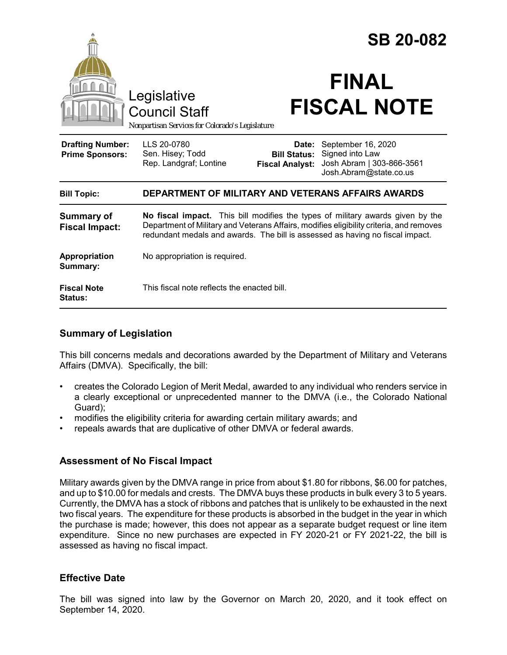

| $1.49$ $P1.9$ $P1.9$<br>Summary:     |                                             |
|--------------------------------------|---------------------------------------------|
| <b>Fiscal Note</b><br><b>Status:</b> | This fiscal note reflects the enacted bill. |

## **Summary of Legislation**

This bill concerns medals and decorations awarded by the Department of Military and Veterans Affairs (DMVA). Specifically, the bill:

- creates the Colorado Legion of Merit Medal, awarded to any individual who renders service in a clearly exceptional or unprecedented manner to the DMVA (i.e., the Colorado National Guard);
- modifies the eligibility criteria for awarding certain military awards; and
- repeals awards that are duplicative of other DMVA or federal awards.

### **Assessment of No Fiscal Impact**

Military awards given by the DMVA range in price from about \$1.80 for ribbons, \$6.00 for patches, and up to \$10.00 for medals and crests. The DMVA buys these products in bulk every 3 to 5 years. Currently, the DMVA has a stock of ribbons and patches that is unlikely to be exhausted in the next two fiscal years. The expenditure for these products is absorbed in the budget in the year in which the purchase is made; however, this does not appear as a separate budget request or line item expenditure. Since no new purchases are expected in FY 2020-21 or FY 2021-22, the bill is assessed as having no fiscal impact.

### **Effective Date**

The bill was signed into law by the Governor on March 20, 2020, and it took effect on September 14, 2020.